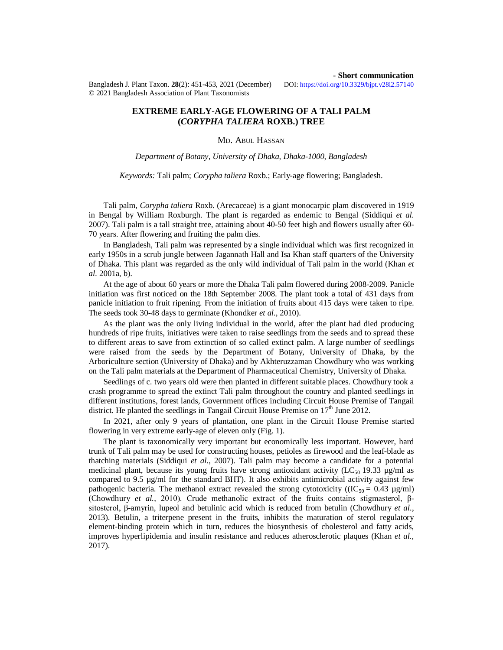Bangladesh J. Plant Taxon. **28**(2): 451-453, 2021 (December) DOI:<https://doi.org/10.3329/bjpt.v28i2.57140> © 2021 Bangladesh Association of Plant Taxonomists

## **- Short communication**

# **EXTREME EARLY-AGE FLOWERING OF A TALI PALM (***CORYPHA TALIERA* **ROXB.) TREE**

#### MD. ABUL HASSAN

*Department of Botany, University of Dhaka, Dhaka-1000, Bangladesh*

### *Keywords:* Tali palm; *Corypha taliera* Roxb.; Early-age flowering; Bangladesh.

Tali palm, *Corypha taliera* Roxb. (Arecaceae) is a giant monocarpic plam discovered in 1919 in Bengal by William Roxburgh. The plant is regarded as endemic to Bengal (Siddiqui *et al.*  2007). Tali palm is a tall straight tree, attaining about 40-50 feet high and flowers usually after 60- 70 years. After flowering and fruiting the palm dies.

In Bangladesh, Tali palm was represented by a single individual which was first recognized in early 1950s in a scrub jungle between Jagannath Hall and Isa Khan staff quarters of the University of Dhaka. This plant was regarded as the only wild individual of Tali palm in the world (Khan *et al.* 2001a, b).

At the age of about 60 years or more the Dhaka Tali palm flowered during 2008-2009. Panicle initiation was first noticed on the 18th September 2008. The plant took a total of 431 days from panicle initiation to fruit ripening. From the initiation of fruits about 415 days were taken to ripe. The seeds took 30-48 days to germinate (Khondker *et al.*, 2010).

As the plant was the only living individual in the world, after the plant had died producing hundreds of ripe fruits, initiatives were taken to raise seedlings from the seeds and to spread these to different areas to save from extinction of so called extinct palm. A large number of seedlings were raised from the seeds by the Department of Botany, University of Dhaka, by the Arboriculture section (University of Dhaka) and by Akhteruzzaman Chowdhury who was working on the Tali palm materials at the Department of Pharmaceutical Chemistry, University of Dhaka.

Seedlings of c. two years old were then planted in different suitable places. Chowdhury took a crash programme to spread the extinct Tali palm throughout the country and planted seedlings in different institutions, forest lands, Government offices including Circuit House Premise of Tangail district. He planted the seedlings in Tangail Circuit House Premise on  $17<sup>th</sup>$  June 2012.

In 2021, after only 9 years of plantation, one plant in the Circuit House Premise started flowering in very extreme early-age of eleven only (Fig. 1).

The plant is taxonomically very important but economically less important. However, hard trunk of Tali palm may be used for constructing houses, petioles as firewood and the leaf-blade as thatching materials (Siddiqui *et al*., 2007). Tali palm may become a candidate for a potential medicinal plant, because its young fruits have strong antioxidant activity ( $LC_{50}$  19.33  $\mu$ g/ml as compared to 9.5  $\mu$ g/ml for the standard BHT). It also exhibits antimicrobial activity against few pathogenic bacteria. The methanol extract revealed the strong cytotoxicity ( $(IC_{50} = 0.43 \mu g/ml)$ ) (Chowdhury *et al.*, 2010). Crude methanolic extract of the fruits contains stigmasterol, βsitosterol, β-amyrin, lupeol and betulinic acid which is reduced from betulin (Chowdhury *et al.*, 2013). Betulin, a triterpene present in the fruits, inhibits the maturation of sterol regulatory element-binding protein which in turn, reduces the biosynthesis of cholesterol and fatty acids, improves hyperlipidemia and insulin resistance and reduces atherosclerotic plaques (Khan *et al.*, 2017).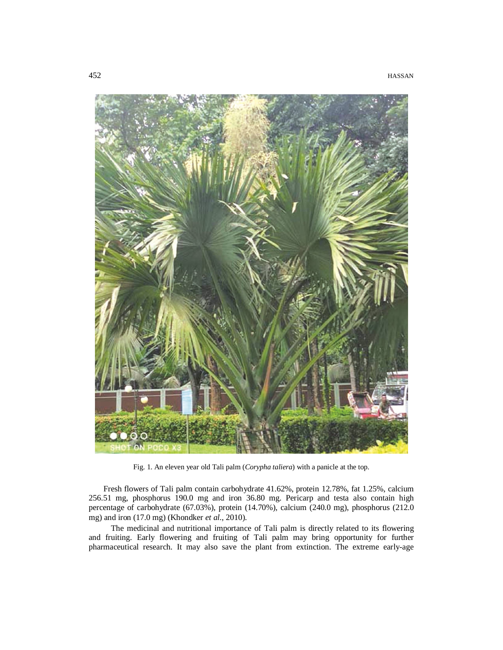

Fig. 1. An eleven year old Tali palm (*Corypha taliera*) with a panicle at the top.

Fresh flowers of Tali palm contain carbohydrate 41.62%, protein 12.78%, fat 1.25%, calcium 256.51 mg, phosphorus 190.0 mg and iron 36.80 mg. Pericarp and testa also contain high percentage of carbohydrate (67.03%), protein (14.70%), calcium (240.0 mg), phosphorus (212.0 mg) and iron (17.0 mg) (Khondker *et al.*, 2010).

The medicinal and nutritional importance of Tali palm is directly related to its flowering and fruiting. Early flowering and fruiting of Tali palm may bring opportunity for further pharmaceutical research. It may also save the plant from extinction. The extreme early-age